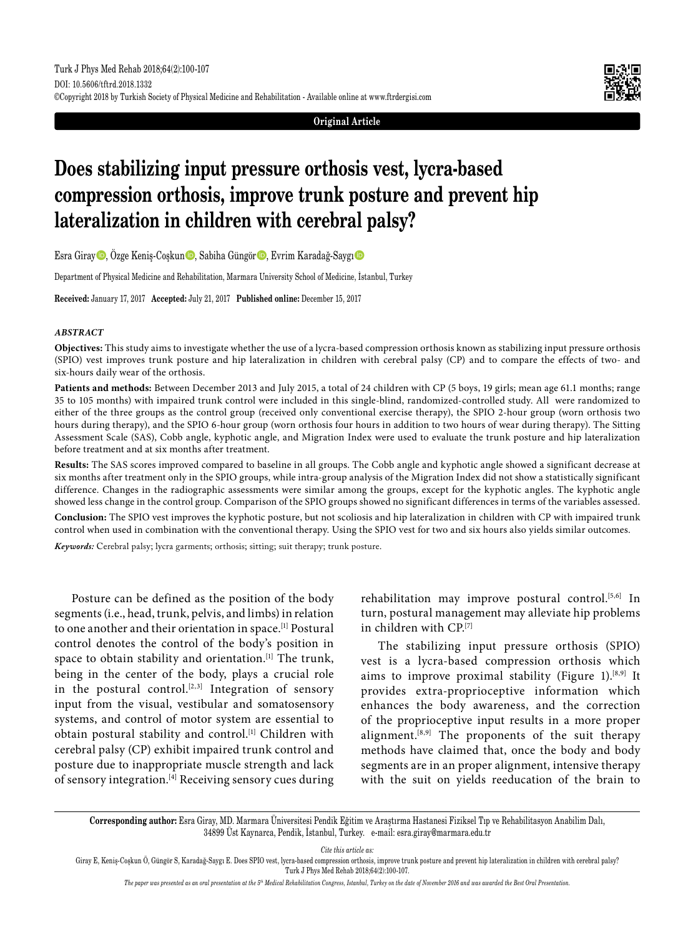

**Original Article**

# **Does stabilizing input pressure orthosis vest, lycra-based compression orthosis, improve trunk posture and prevent hip lateralization in children with cerebral palsy?**

Esra Giray<sup>(</sup>, Özge Keniş-Coşkun $\bullet$ , Sabiha Güngör $\bullet$ , Evrim Karadağ-Saygı $\bullet$ 

Department of Physical Medicine and Rehabilitation, Marmara University School of Medicine, İstanbul, Turkey

**Received:** January 17, 2017 **Accepted:** July 21, 2017 **Published online:** December 15, 2017

### *ABSTRACT*

**Objectives:** This study aims to investigate whether the use of a lycra-based compression orthosis known as stabilizing input pressure orthosis (SPIO) vest improves trunk posture and hip lateralization in children with cerebral palsy (CP) and to compare the effects of two- and six-hours daily wear of the orthosis.

**Patients and methods:** Between December 2013 and July 2015, a total of 24 children with CP (5 boys, 19 girls; mean age 61.1 months; range 35 to 105 months) with impaired trunk control were included in this single-blind, randomized-controlled study. All were randomized to either of the three groups as the control group (received only conventional exercise therapy), the SPIO 2-hour group (worn orthosis two hours during therapy), and the SPIO 6-hour group (worn orthosis four hours in addition to two hours of wear during therapy). The Sitting Assessment Scale (SAS), Cobb angle, kyphotic angle, and Migration Index were used to evaluate the trunk posture and hip lateralization before treatment and at six months after treatment.

**Results:** The SAS scores improved compared to baseline in all groups. The Cobb angle and kyphotic angle showed a significant decrease at six months after treatment only in the SPIO groups, while intra-group analysis of the Migration Index did not show a statistically significant difference. Changes in the radiographic assessments were similar among the groups, except for the kyphotic angles. The kyphotic angle showed less change in the control group. Comparison of the SPIO groups showed no significant differences in terms of the variables assessed.

**Conclusion:** The SPIO vest improves the kyphotic posture, but not scoliosis and hip lateralization in children with CP with impaired trunk control when used in combination with the conventional therapy. Using the SPIO vest for two and six hours also yields similar outcomes.

*Keywords:* Cerebral palsy; lycra garments; orthosis; sitting; suit therapy; trunk posture.

Posture can be defined as the position of the body segments (i.e., head, trunk, pelvis, and limbs) in relation to one another and their orientation in space.[1] Postural control denotes the control of the body's position in space to obtain stability and orientation.<sup>[1]</sup> The trunk, being in the center of the body, plays a crucial role in the postural control.<sup>[2,3]</sup> Integration of sensory input from the visual, vestibular and somatosensory systems, and control of motor system are essential to obtain postural stability and control.<sup>[1]</sup> Children with cerebral palsy (CP) exhibit impaired trunk control and posture due to inappropriate muscle strength and lack of sensory integration.[4] Receiving sensory cues during

rehabilitation may improve postural control.<sup>[5,6]</sup> In turn, postural management may alleviate hip problems in children with CP.[7]

The stabilizing input pressure orthosis (SPIO) vest is a lycra-based compression orthosis which aims to improve proximal stability (Figure 1).<sup>[8,9]</sup> It provides extra-proprioceptive information which enhances the body awareness, and the correction of the proprioceptive input results in a more proper alignment.<sup>[8,9]</sup> The proponents of the suit therapy methods have claimed that, once the body and body segments are in an proper alignment, intensive therapy with the suit on yields reeducation of the brain to

**Corresponding author:** Esra Giray, MD. Marmara Üniversitesi Pendik Eğitim ve Araştırma Hastanesi Fiziksel Tıp ve Rehabilitasyon Anabilim Dalı, 34899 Üst Kaynarca, Pendik, İstanbul, Turkey. e-mail: esra.giray@marmara.edu.tr

*Cite this article as:*

Giray E, Keniş-Coşkun Ö, Güngör S, Karadağ-Saygı E. Does SPIO vest, lycra-based compression orthosis, improve trunk posture and prevent hip lateralization in children with cerebral palsy? Turk J Phys Med Rehab 2018;64(2):100-107.

The paper was presented as an oral presentation at the 5<sup>th</sup> Medical Rehabilitation Congress, Istanbul, Turkey on the date of November 2016 and was awarded the Best Oral Presentation.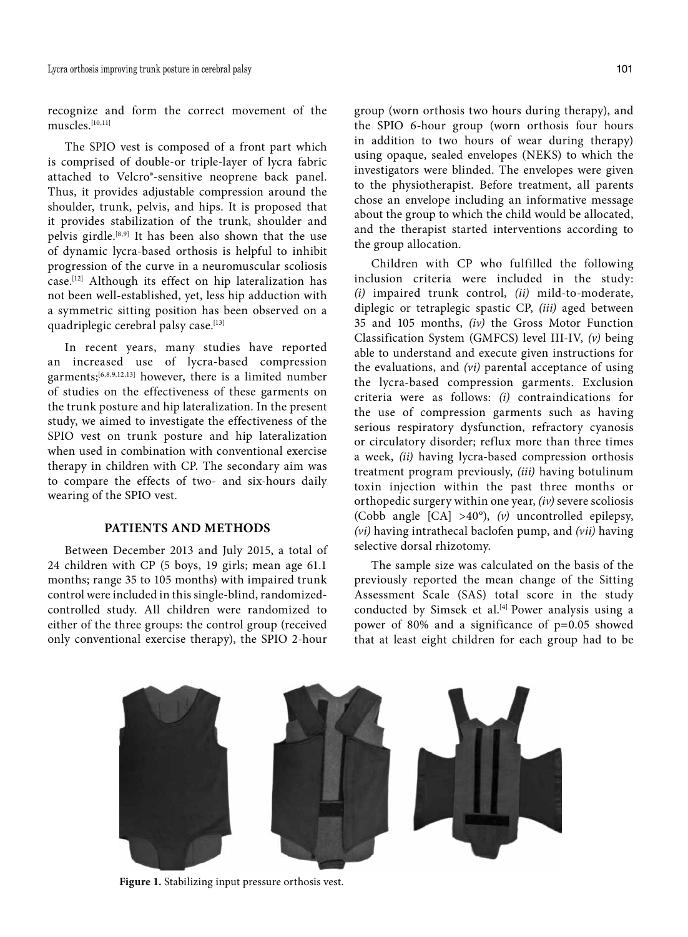recognize and form the correct movement of the muscles.[10,11]

The SPIO vest is composed of a front part which is comprised of double-or triple-layer of lycra fabric attached to Velcro®-sensitive neoprene back panel. Thus, it provides adjustable compression around the shoulder, trunk, pelvis, and hips. It is proposed that it provides stabilization of the trunk, shoulder and pelvis girdle.[8,9] It has been also shown that the use of dynamic lycra-based orthosis is helpful to inhibit progression of the curve in a neuromuscular scoliosis case.[12] Although its effect on hip lateralization has not been well-established, yet, less hip adduction with a symmetric sitting position has been observed on a quadriplegic cerebral palsy case.[13]

In recent years, many studies have reported an increased use of lycra-based compression garments;[6,8,9,12,13] however, there is a limited number of studies on the effectiveness of these garments on the trunk posture and hip lateralization. In the present study, we aimed to investigate the effectiveness of the SPIO vest on trunk posture and hip lateralization when used in combination with conventional exercise therapy in children with CP. The secondary aim was to compare the effects of two- and six-hours daily wearing of the SPIO vest.

# **PATIENTS AND METHODS**

Between December 2013 and July 2015, a total of 24 children with CP (5 boys, 19 girls; mean age 61.1 months; range 35 to 105 months) with impaired trunk control were included in this single-blind, randomizedcontrolled study. All children were randomized to either of the three groups: the control group (received only conventional exercise therapy), the SPIO 2-hour

group (worn orthosis two hours during therapy), and the SPIO 6-hour group (worn orthosis four hours in addition to two hours of wear during therapy) using opaque, sealed envelopes (NEKS) to which the investigators were blinded. The envelopes were given to the physiotherapist. Before treatment, all parents chose an envelope including an informative message about the group to which the child would be allocated, and the therapist started interventions according to the group allocation.

Children with CP who fulfilled the following inclusion criteria were included in the study: *(i)* impaired trunk control, *(ii)* mild-to-moderate, diplegic or tetraplegic spastic CP, *(iii)* aged between 35 and 105 months, *(iv)* the Gross Motor Function Classification System (GMFCS) level III-IV, *(v)* being able to understand and execute given instructions for the evaluations, and *(vi)* parental acceptance of using the lycra-based compression garments. Exclusion criteria were as follows: *(i)* contraindications for the use of compression garments such as having serious respiratory dysfunction, refractory cyanosis or circulatory disorder; reflux more than three times a week, *(ii)* having lycra-based compression orthosis treatment program previously, *(iii)* having botulinum toxin injection within the past three months or orthopedic surgery within one year, *(iv)* severe scoliosis (Cobb angle [CA] >40°), *(v)* uncontrolled epilepsy, *(vi)* having intrathecal baclofen pump, and *(vii)* having selective dorsal rhizotomy.

The sample size was calculated on the basis of the previously reported the mean change of the Sitting Assessment Scale (SAS) total score in the study conducted by Simsek et al.<sup>[4]</sup> Power analysis using a power of 80% and a significance of p=0.05 showed that at least eight children for each group had to be



**Figure 1.** Stabilizing input pressure orthosis vest.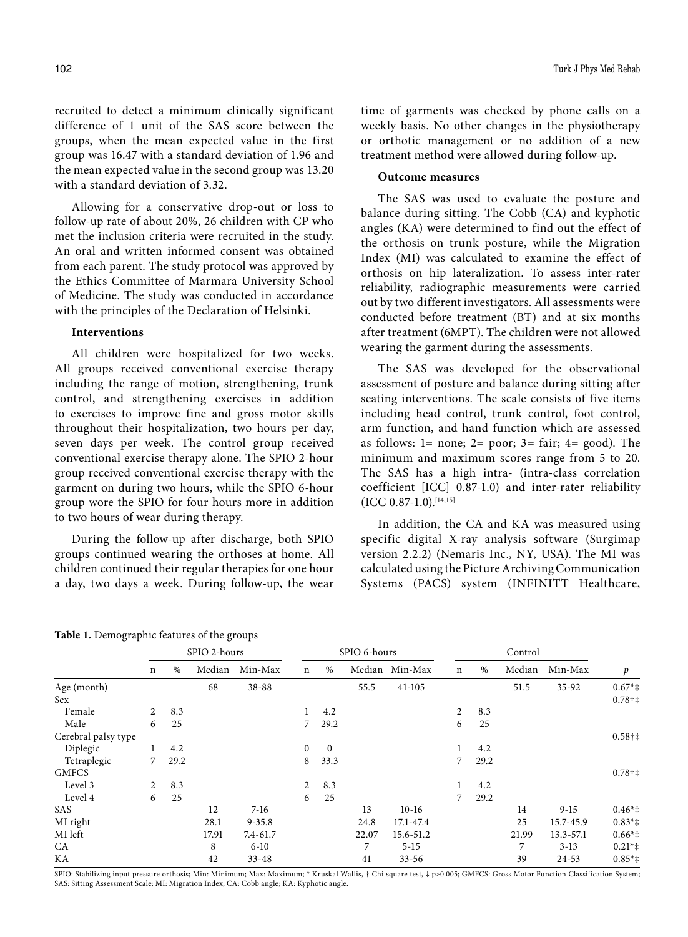recruited to detect a minimum clinically significant difference of 1 unit of the SAS score between the groups, when the mean expected value in the first group was 16.47 with a standard deviation of 1.96 and the mean expected value in the second group was 13.20 with a standard deviation of 3.32.

Allowing for a conservative drop-out or loss to follow-up rate of about 20%, 26 children with CP who met the inclusion criteria were recruited in the study. An oral and written informed consent was obtained from each parent. The study protocol was approved by the Ethics Committee of Marmara University School of Medicine. The study was conducted in accordance with the principles of the Declaration of Helsinki.

## **Interventions**

All children were hospitalized for two weeks. All groups received conventional exercise therapy including the range of motion, strengthening, trunk control, and strengthening exercises in addition to exercises to improve fine and gross motor skills throughout their hospitalization, two hours per day, seven days per week. The control group received conventional exercise therapy alone. The SPIO 2-hour group received conventional exercise therapy with the garment on during two hours, while the SPIO 6-hour group wore the SPIO for four hours more in addition to two hours of wear during therapy.

During the follow-up after discharge, both SPIO groups continued wearing the orthoses at home. All children continued their regular therapies for one hour a day, two days a week. During follow-up, the wear time of garments was checked by phone calls on a weekly basis. No other changes in the physiotherapy or orthotic management or no addition of a new treatment method were allowed during follow-up.

### **Outcome measures**

The SAS was used to evaluate the posture and balance during sitting. The Cobb (CA) and kyphotic angles (KA) were determined to find out the effect of the orthosis on trunk posture, while the Migration Index (MI) was calculated to examine the effect of orthosis on hip lateralization. To assess inter-rater reliability, radiographic measurements were carried out by two different investigators. All assessments were conducted before treatment (BT) and at six months after treatment (6MPT). The children were not allowed wearing the garment during the assessments.

The SAS was developed for the observational assessment of posture and balance during sitting after seating interventions. The scale consists of five items including head control, trunk control, foot control, arm function, and hand function which are assessed as follows:  $1=$  none;  $2=$  poor;  $3=$  fair;  $4=$  good). The minimum and maximum scores range from 5 to 20. The SAS has a high intra- (intra-class correlation coefficient [ICC] 0.87-1.0) and inter-rater reliability  $(ICC\ 0.87-1.0).^{[14,15]}$ 

In addition, the CA and KA was measured using specific digital X-ray analysis software (Surgimap version 2.2.2) (Nemaris Inc., NY, USA). The MI was calculated using the Picture Archiving Communication Systems (PACS) system (INFINITT Healthcare,

|                     | SPIO 2-hours |      |        | SPIO 6-hours |                  |              |        | Control   |             |      |        |           |                 |
|---------------------|--------------|------|--------|--------------|------------------|--------------|--------|-----------|-------------|------|--------|-----------|-----------------|
|                     | n            | %    | Median | Min-Max      | $\mathbf n$      | %            | Median | Min-Max   | $\mathbf n$ | %    | Median | Min-Max   | $\mathcal{P}$   |
| Age (month)         |              |      | 68     | $38 - 88$    |                  |              | 55.5   | 41-105    |             |      | 51.5   | $35 - 92$ | $0.67*$ ‡       |
| <b>Sex</b>          |              |      |        |              |                  |              |        |           |             |      |        |           | $0.78\dagger$   |
| Female              | 2            | 8.3  |        |              |                  | 4.2          |        |           | 2           | 8.3  |        |           |                 |
| Male                | 6            | 25   |        |              | $\overline{7}$   | 29.2         |        |           | 6           | 25   |        |           |                 |
| Cerebral palsy type |              |      |        |              |                  |              |        |           |             |      |        |           | $0.58\dagger$ ‡ |
| Diplegic            | 1            | 4.2  |        |              | $\boldsymbol{0}$ | $\mathbf{0}$ |        |           |             | 4.2  |        |           |                 |
| Tetraplegic         | 7            | 29.2 |        |              | 8                | 33.3         |        |           | 7           | 29.2 |        |           |                 |
| <b>GMFCS</b>        |              |      |        |              |                  |              |        |           |             |      |        |           | $0.78\dagger$   |
| Level 3             | 2            | 8.3  |        |              | 2                | 8.3          |        |           |             | 4.2  |        |           |                 |
| Level 4             | 6            | 25   |        |              | 6                | 25           |        |           | 7           | 29.2 |        |           |                 |
| SAS                 |              |      | 12     | $7-16$       |                  |              | 13     | $10-16$   |             |      | 14     | $9-15$    | $0.46*$         |
| MI right            |              |      | 28.1   | $9 - 35.8$   |                  |              | 24.8   | 17.1-47.4 |             |      | 25     | 15.7-45.9 | $0.83*$ ‡       |
| MI left             |              |      | 17.91  | $7.4 - 61.7$ |                  |              | 22.07  | 15.6-51.2 |             |      | 21.99  | 13.3-57.1 | $0.66*$         |
| CA                  |              |      | 8      | $6 - 10$     |                  |              | 7      | $5-15$    |             |      | 7      | $3-13$    | $0.21*$         |
| ΚA                  |              |      | 42     | $33 - 48$    |                  |              | 41     | $33 - 56$ |             |      | 39     | 24-53     | $0.85*$ ‡       |

SPIO: Stabilizing input pressure orthosis; Min: Minimum; Max: Maximum; \* Kruskal Wallis, † Chi square test, ‡ p>0.005; GMFCS: Gross Motor Function Classification System; SAS: Sitting Assessment Scale; MI: Migration Index; CA: Cobb angle; KA: Kyphotic angle.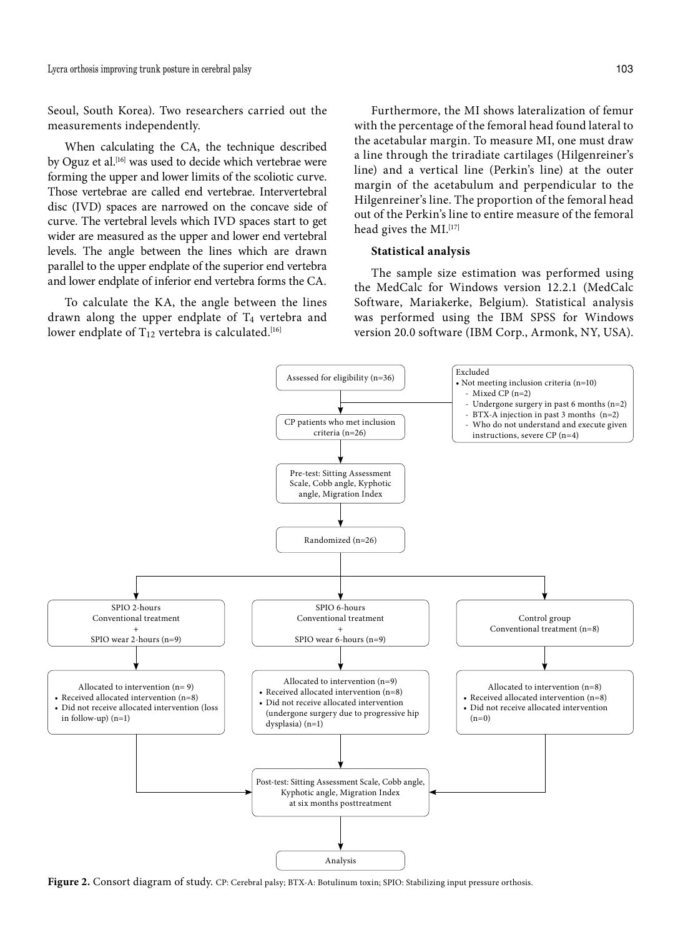Lycra orthosis improving trunk posture in cerebral palsy 103

Seoul, South Korea). Two researchers carried out the measurements independently.

When calculating the CA, the technique described by Oguz et al.<sup>[16]</sup> was used to decide which vertebrae were forming the upper and lower limits of the scoliotic curve. Those vertebrae are called end vertebrae. Intervertebral disc (IVD) spaces are narrowed on the concave side of curve. The vertebral levels which IVD spaces start to get wider are measured as the upper and lower end vertebral levels. The angle between the lines which are drawn parallel to the upper endplate of the superior end vertebra and lower endplate of inferior end vertebra forms the CA.

To calculate the KA, the angle between the lines drawn along the upper endplate of T<sub>4</sub> vertebra and lower endplate of  $T_{12}$  vertebra is calculated.<sup>[16]</sup>

Furthermore, the MI shows lateralization of femur with the percentage of the femoral head found lateral to the acetabular margin. To measure MI, one must draw a line through the triradiate cartilages (Hilgenreiner's line) and a vertical line (Perkin's line) at the outer margin of the acetabulum and perpendicular to the Hilgenreiner's line. The proportion of the femoral head out of the Perkin's line to entire measure of the femoral head gives the MI.<sup>[17]</sup>

## **Statistical analysis**

The sample size estimation was performed using the MedCalc for Windows version 12.2.1 (MedCalc Software, Mariakerke, Belgium). Statistical analysis was performed using the IBM SPSS for Windows version 20.0 software (IBM Corp., Armonk, NY, USA).



**Figure 2.** Consort diagram of study. CP: Cerebral palsy; BTX-A: Botulinum toxin; SPIO: Stabilizing input pressure orthosis.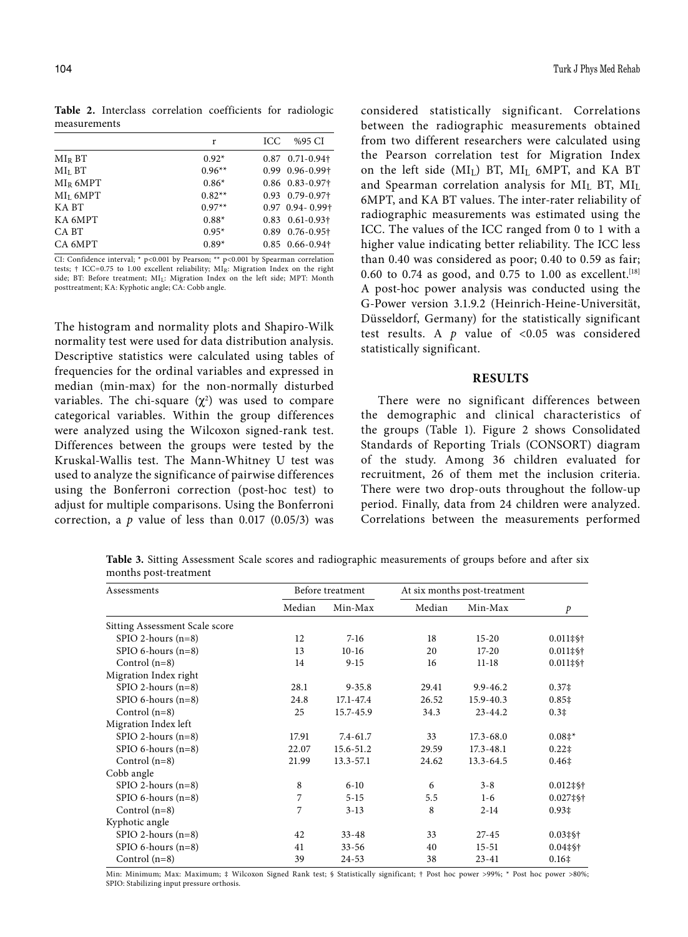**Table 2.** Interclass correlation coefficients for radiologic measurements

|                      | r        | ICC. | %95 CI                            |
|----------------------|----------|------|-----------------------------------|
| $MI_R BT$            | $0.92*$  |      | $0.87$ $0.71 - 0.94$ <sup>+</sup> |
| MI <sub>L</sub> BT   | $0.96**$ |      | $0.99$ $0.96 - 0.99$ †            |
| MIR 6MPT             | $0.86*$  |      | $0.86$ $0.83 - 0.97$ <sup>+</sup> |
| MI <sub>L</sub> 6MPT | $0.82**$ |      | $0.93$ $0.79 - 0.97$ <sup>+</sup> |
| KA BT                | $0.97**$ |      | $0.97$ 0.94 - 0.99 <sup>+</sup>   |
| KA 6MPT              | $0.88*$  |      | $0.83$ $0.61 - 0.93$ <sup>+</sup> |
| CA BT                | $0.95*$  | 0.89 | $0.76 - 0.95\dagger$              |
| CA <sub>6</sub> MPT  | $0.89*$  |      | $0.85$ $0.66 - 0.94$ <sup>+</sup> |
|                      |          |      |                                   |

CI: Confidence interval; \* p<0.001 by Pearson; \*\* p<0.001 by Spearman correlation tests; † ICC=0.75 to 1.00 excellent reliability; MIR: Migration Index on the right side; BT: Before treatment; MI<sub>L</sub>: Migration Index on the left side; MPT: Month posttreatment; KA: Kyphotic angle; CA: Cobb angle.

The histogram and normality plots and Shapiro-Wilk normality test were used for data distribution analysis. Descriptive statistics were calculated using tables of frequencies for the ordinal variables and expressed in median (min-max) for the non-normally disturbed variables. The chi-square  $(\chi^2)$  was used to compare categorical variables. Within the group differences were analyzed using the Wilcoxon signed-rank test. Differences between the groups were tested by the Kruskal-Wallis test. The Mann-Whitney U test was used to analyze the significance of pairwise differences using the Bonferroni correction (post-hoc test) to adjust for multiple comparisons. Using the Bonferroni correction, a *p* value of less than 0.017 (0.05/3) was

considered statistically significant. Correlations between the radiographic measurements obtained from two different researchers were calculated using the Pearson correlation test for Migration Index on the left side (MIL) BT, MIL 6MPT, and KA BT and Spearman correlation analysis for MIL BT, MIL 6MPT, and KA BT values. The inter-rater reliability of radiographic measurements was estimated using the ICC. The values of the ICC ranged from 0 to 1 with a higher value indicating better reliability. The ICC less than 0.40 was considered as poor; 0.40 to 0.59 as fair; 0.60 to 0.74 as good, and 0.75 to 1.00 as excellent.<sup>[18]</sup> A post-hoc power analysis was conducted using the G-Power version 3.1.9.2 (Heinrich-Heine-Universität, Düsseldorf, Germany) for the statistically significant test results. A  $p$  value of <0.05 was considered statistically significant.

# **RESULTS**

There were no significant differences between the demographic and clinical characteristics of the groups (Table 1). Figure 2 shows Consolidated Standards of Reporting Trials (CONSORT) diagram of the study. Among 36 children evaluated for recruitment, 26 of them met the inclusion criteria. There were two drop-outs throughout the follow-up period. Finally, data from 24 children were analyzed. Correlations between the measurements performed

**Table 3.** Sitting Assessment Scale scores and radiographic measurements of groups before and after six months post-treatment

| Assessments                    |        | Before treatment | At six months post-treatment |               |                   |
|--------------------------------|--------|------------------|------------------------------|---------------|-------------------|
|                                | Median | Min-Max          | Median                       | Min-Max       | $\mathfrak{p}$    |
| Sitting Assessment Scale score |        |                  |                              |               |                   |
| $SPIO$ 2-hours $(n=8)$         | 12     | $7-16$           | 18                           | $15 - 20$     | 0.011ठ            |
| SPIO 6-hours $(n=8)$           | 13     | $10-16$          | 20                           | $17 - 20$     | 0.011ठ            |
| Control $(n=8)$                | 14     | $9-15$           | 16                           | $11 - 18$     | 0.011ठ            |
| Migration Index right          |        |                  |                              |               |                   |
| $SPIO$ 2-hours $(n=8)$         | 28.1   | $9 - 35.8$       | 29.41                        | $9.9 - 46.2$  | 0.37 <sup>‡</sup> |
| SPIO 6-hours $(n=8)$           | 24.8   | 17.1-47.4        | 26.52                        | 15.9-40.3     | $0.85$ ‡          |
| Control $(n=8)$                | 25     | 15.7-45.9        | 34.3                         | $23 - 44.2$   | 0.3 <sup>‡</sup>  |
| Migration Index left           |        |                  |                              |               |                   |
| SPIO 2-hours $(n=8)$           | 17.91  | $7.4 - 61.7$     | 33                           | $17.3 - 68.0$ | $0.08$ ‡*         |
| SPIO 6-hours $(n=8)$           | 22.07  | 15.6-51.2        | 29.59                        | $17.3 - 48.1$ | $0.22$ ‡          |
| Control $(n=8)$                | 21.99  | 13.3-57.1        | 24.62                        | 13.3-64.5     | $0.46\ddagger$    |
| Cobb angle                     |        |                  |                              |               |                   |
| $SPIO$ 2-hours $(n=8)$         | 8      | $6 - 10$         | 6                            | $3 - 8$       | $0.012$ ठ         |
| SPIO 6-hours $(n=8)$           | 7      | $5-15$           | 5.5                          | $1-6$         | 0.027‡\$†         |
| Control $(n=8)$                | 7      | $3-13$           | 8                            | $2 - 14$      | $0.93 \ddagger$   |
| Kyphotic angle                 |        |                  |                              |               |                   |
| $SPIO$ 2-hours $(n=8)$         | 42     | $33 - 48$        | 33                           | $27 - 45$     | $0.03$ ठ          |
| $SPIO$ 6-hours $(n=8)$         | 41     | $33 - 56$        | 40                           | $15 - 51$     | $0.04$ ठ          |
| Control $(n=8)$                | 39     | 24-53            | 38                           | $23 - 41$     | $0.16\ddagger$    |

Min: Minimum; Max: Maximum; ‡ Wilcoxon Signed Rank test; § Statistically significant; † Post hoc power >99%; \* Post hoc power >80%; SPIO: Stabilizing input pressure orthosis.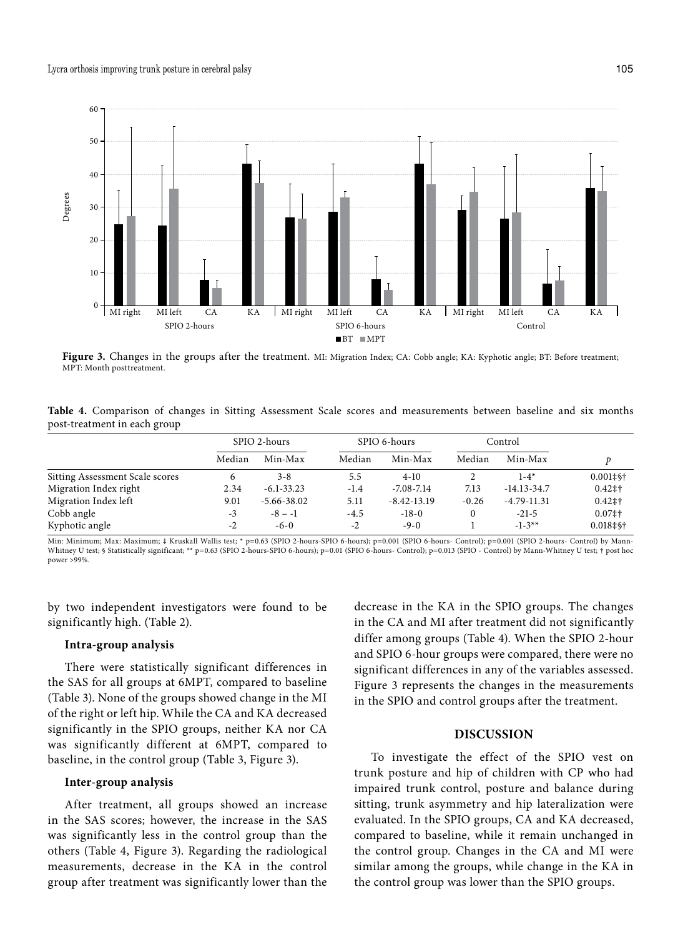

Figure 3. Changes in the groups after the treatment. MI: Migration Index; CA: Cobb angle; KA: Kyphotic angle; BT: Before treatment; MPT: Month posttreatment.

**Table 4.** Comparison of changes in Sitting Assessment Scale scores and measurements between baseline and six months post-treatment in each group

|                                        |        | SPIO 2-hours    |        | SPIO 6-hours    | Control  |                 |                      |  |
|----------------------------------------|--------|-----------------|--------|-----------------|----------|-----------------|----------------------|--|
|                                        | Median | Min-Max         | Median | Min-Max         | Median   | Min-Max         |                      |  |
| <b>Sitting Assessment Scale scores</b> | 6      | $3 - 8$         | 5.5    | $4-10$          | 2        | $1 - 4*$        | $0.001\pm$ §†        |  |
| Migration Index right                  | 2.34   | $-6.1 - 33.23$  | $-1.4$ | $-7.08 - 7.14$  | 7.13     | $-14.13 - 34.7$ | $0.42$ ‡†            |  |
| Migration Index left                   | 9.01   | $-5.66 - 38.02$ | 5.11   | $-8.42 - 13.19$ | $-0.26$  | $-4.79 - 11.31$ | $0.42$ ‡†            |  |
| Cobb angle                             | $-3$   | $-8 - -1$       | $-4.5$ | $-18-0$         | $\theta$ | $-21-5$         | $0.07$ ‡†            |  |
| Kyphotic angle                         | $-2$   | $-6-0$          | $-2$   | $-9-0$          |          | $-1-3**$        | $0.018 \text{+}$ \$† |  |

Min: Minimum; Max: Maximum; ‡ Kruskall Wallis test; \* p=0.63 (SPIO 2-hours-SPIO 6-hours); p=0.001 (SPIO 6-hours- Control); p=0.001 (SPIO 2-hours- Control) by Mann-Whitney U test; § Statistically significant; \*\* p=0.63 (SPIO 2-hours-SPIO 6-hours); p=0.01 (SPIO 6-hours- Control); p=0.013 (SPIO - Control) by Mann-Whitney U test; † post hoc power >99%.

by two independent investigators were found to be significantly high. (Table 2).

# **Intra-group analysis**

There were statistically significant differences in the SAS for all groups at 6MPT, compared to baseline (Table 3). None of the groups showed change in the MI of the right or left hip. While the CA and KA decreased significantly in the SPIO groups, neither KA nor CA was significantly different at 6MPT, compared to baseline, in the control group (Table 3, Figure 3).

#### **Inter-group analysis**

After treatment, all groups showed an increase in the SAS scores; however, the increase in the SAS was significantly less in the control group than the others (Table 4, Figure 3). Regarding the radiological measurements, decrease in the KA in the control group after treatment was significantly lower than the decrease in the KA in the SPIO groups. The changes in the CA and MI after treatment did not significantly differ among groups (Table 4). When the SPIO 2-hour and SPIO 6-hour groups were compared, there were no significant differences in any of the variables assessed. Figure 3 represents the changes in the measurements in the SPIO and control groups after the treatment.

# **DISCUSSION**

To investigate the effect of the SPIO vest on trunk posture and hip of children with CP who had impaired trunk control, posture and balance during sitting, trunk asymmetry and hip lateralization were evaluated. In the SPIO groups, CA and KA decreased, compared to baseline, while it remain unchanged in the control group. Changes in the CA and MI were similar among the groups, while change in the KA in the control group was lower than the SPIO groups.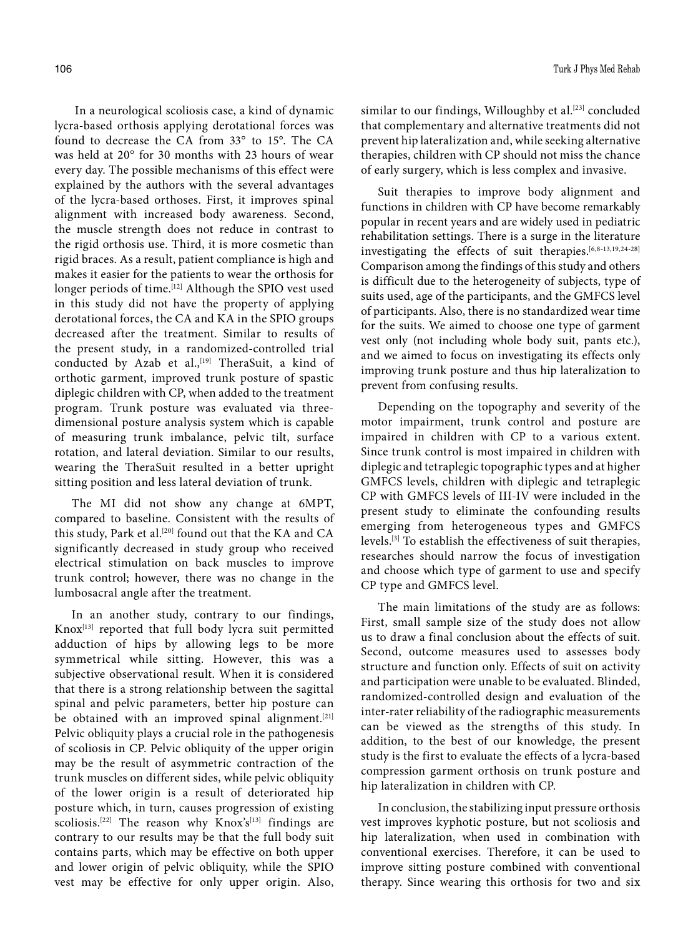In a neurological scoliosis case, a kind of dynamic lycra-based orthosis applying derotational forces was found to decrease the CA from 33° to 15°. The CA was held at 20° for 30 months with 23 hours of wear every day. The possible mechanisms of this effect were explained by the authors with the several advantages of the lycra-based orthoses. First, it improves spinal alignment with increased body awareness. Second, the muscle strength does not reduce in contrast to the rigid orthosis use. Third, it is more cosmetic than rigid braces. As a result, patient compliance is high and makes it easier for the patients to wear the orthosis for longer periods of time.<sup>[12]</sup> Although the SPIO vest used in this study did not have the property of applying derotational forces, the CA and KA in the SPIO groups decreased after the treatment. Similar to results of the present study, in a randomized-controlled trial conducted by Azab et al.,<sup>[19]</sup> TheraSuit, a kind of orthotic garment, improved trunk posture of spastic diplegic children with CP, when added to the treatment program. Trunk posture was evaluated via threedimensional posture analysis system which is capable of measuring trunk imbalance, pelvic tilt, surface rotation, and lateral deviation. Similar to our results, wearing the TheraSuit resulted in a better upright sitting position and less lateral deviation of trunk.

The MI did not show any change at 6MPT, compared to baseline. Consistent with the results of this study, Park et al.<sup>[20]</sup> found out that the KA and CA significantly decreased in study group who received electrical stimulation on back muscles to improve trunk control; however, there was no change in the lumbosacral angle after the treatment.

In an another study, contrary to our findings, Knox[13] reported that full body lycra suit permitted adduction of hips by allowing legs to be more symmetrical while sitting. However, this was a subjective observational result. When it is considered that there is a strong relationship between the sagittal spinal and pelvic parameters, better hip posture can be obtained with an improved spinal alignment.<sup>[21]</sup> Pelvic obliquity plays a crucial role in the pathogenesis of scoliosis in CP. Pelvic obliquity of the upper origin may be the result of asymmetric contraction of the trunk muscles on different sides, while pelvic obliquity of the lower origin is a result of deteriorated hip posture which, in turn, causes progression of existing scoliosis.<sup>[22]</sup> The reason why Knox's<sup>[13]</sup> findings are contrary to our results may be that the full body suit contains parts, which may be effective on both upper and lower origin of pelvic obliquity, while the SPIO vest may be effective for only upper origin. Also,

similar to our findings, Willoughby et al.<sup>[23]</sup> concluded that complementary and alternative treatments did not prevent hip lateralization and, while seeking alternative therapies, children with CP should not miss the chance of early surgery, which is less complex and invasive.

Suit therapies to improve body alignment and functions in children with CP have become remarkably popular in recent years and are widely used in pediatric rehabilitation settings. There is a surge in the literature investigating the effects of suit therapies.[6,8-13,19,24-28] Comparison among the findings of this study and others is difficult due to the heterogeneity of subjects, type of suits used, age of the participants, and the GMFCS level of participants. Also, there is no standardized wear time for the suits. We aimed to choose one type of garment vest only (not including whole body suit, pants etc.), and we aimed to focus on investigating its effects only improving trunk posture and thus hip lateralization to prevent from confusing results.

Depending on the topography and severity of the motor impairment, trunk control and posture are impaired in children with CP to a various extent. Since trunk control is most impaired in children with diplegic and tetraplegic topographic types and at higher GMFCS levels, children with diplegic and tetraplegic CP with GMFCS levels of III-IV were included in the present study to eliminate the confounding results emerging from heterogeneous types and GMFCS levels.[3] To establish the effectiveness of suit therapies, researches should narrow the focus of investigation and choose which type of garment to use and specify CP type and GMFCS level.

The main limitations of the study are as follows: First, small sample size of the study does not allow us to draw a final conclusion about the effects of suit. Second, outcome measures used to assesses body structure and function only. Effects of suit on activity and participation were unable to be evaluated. Blinded, randomized-controlled design and evaluation of the inter-rater reliability of the radiographic measurements can be viewed as the strengths of this study. In addition, to the best of our knowledge, the present study is the first to evaluate the effects of a lycra-based compression garment orthosis on trunk posture and hip lateralization in children with CP.

In conclusion, the stabilizing input pressure orthosis vest improves kyphotic posture, but not scoliosis and hip lateralization, when used in combination with conventional exercises. Therefore, it can be used to improve sitting posture combined with conventional therapy. Since wearing this orthosis for two and six